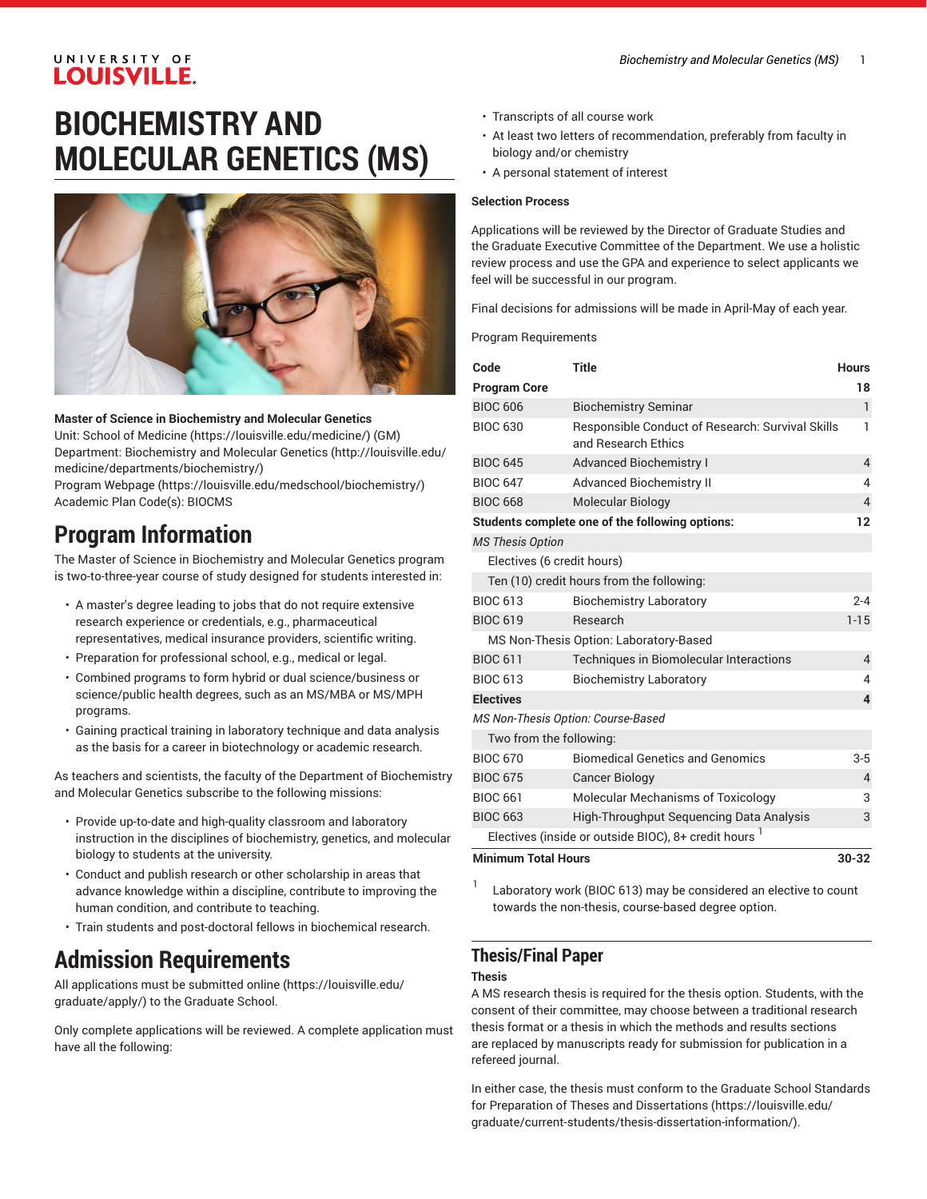### UNIVERSITY OF **LOUISVILLE.**

# **BIOCHEMISTRY AND MOLECULAR GENETICS (MS)**



### **Master of Science in Biochemistry and Molecular Genetics**

Unit: [School of Medicine \(https://louisville.edu/medicine/](https://louisville.edu/medicine/)) (GM) Department: [Biochemistry](http://louisville.edu/medicine/departments/biochemistry/) and Molecular Genetics [\(http://louisville.edu/](http://louisville.edu/medicine/departments/biochemistry/) [medicine/departments/biochemistry/\)](http://louisville.edu/medicine/departments/biochemistry/)

Program [Webpage](https://louisville.edu/medschool/biochemistry/) [\(https://louisville.edu/medschool/biochemistry/](https://louisville.edu/medschool/biochemistry/)) Academic Plan Code(s): BIOCMS

## **Program Information**

The Master of Science in Biochemistry and Molecular Genetics program is two-to-three-year course of study designed for students interested in:

- A master's degree leading to jobs that do not require extensive research experience or credentials, e.g., pharmaceutical representatives, medical insurance providers, scientific writing.
- Preparation for professional school, e.g., medical or legal.
- Combined programs to form hybrid or dual science/business or science/public health degrees, such as an MS/MBA or MS/MPH programs.
- Gaining practical training in laboratory technique and data analysis as the basis for a career in biotechnology or academic research.

As teachers and scientists, the faculty of the Department of Biochemistry and Molecular Genetics subscribe to the following missions:

- Provide up-to-date and high-quality classroom and laboratory instruction in the disciplines of biochemistry, genetics, and molecular biology to students at the university.
- Conduct and publish research or other scholarship in areas that advance knowledge within a discipline, contribute to improving the human condition, and contribute to teaching.
- Train students and post-doctoral fellows in biochemical research.

## **Admission Requirements**

All [applications must be submitted online](https://louisville.edu/graduate/apply/) ([https://louisville.edu/](https://louisville.edu/graduate/apply/) [graduate/apply/](https://louisville.edu/graduate/apply/)) to the Graduate School.

Only complete applications will be reviewed. A complete application must have all the following:

- Transcripts of all course work
- At least two letters of recommendation, preferably from faculty in biology and/or chemistry
- A personal statement of interest

#### **Selection Process**

Applications will be reviewed by the Director of Graduate Studies and the Graduate Executive Committee of the Department. We use a holistic review process and use the GPA and experience to select applicants we feel will be successful in our program.

Final decisions for admissions will be made in April-May of each year.

Program Requirements

| Code                                   | <b>Title</b>                                                            | <b>Hours</b>            |  |
|----------------------------------------|-------------------------------------------------------------------------|-------------------------|--|
| <b>Program Core</b>                    |                                                                         | 18                      |  |
| <b>BIOC 606</b>                        | <b>Biochemistry Seminar</b>                                             | 1                       |  |
| <b>BIOC 630</b>                        | Responsible Conduct of Research: Survival Skills<br>and Research Ethics | 1                       |  |
| <b>BIOC 645</b>                        | <b>Advanced Biochemistry I</b>                                          | $\overline{4}$          |  |
| <b>BIOC 647</b>                        | <b>Advanced Biochemistry II</b>                                         | 4                       |  |
| <b>BIOC 668</b>                        | <b>Molecular Biology</b>                                                | $\overline{4}$          |  |
|                                        | Students complete one of the following options:                         | 12                      |  |
| <b>MS Thesis Option</b>                |                                                                         |                         |  |
| Electives (6 credit hours)             |                                                                         |                         |  |
|                                        | Ten (10) credit hours from the following:                               |                         |  |
| <b>BIOC 613</b>                        | <b>Biochemistry Laboratory</b>                                          | $2 - 4$                 |  |
| <b>BIOC 619</b>                        | Research                                                                | $1 - 15$                |  |
| MS Non-Thesis Option: Laboratory-Based |                                                                         |                         |  |
| <b>BIOC 611</b>                        | Techniques in Biomolecular Interactions                                 | $\overline{4}$          |  |
| <b>BIOC 613</b>                        | <b>Biochemistry Laboratory</b>                                          | 4                       |  |
| <b>Electives</b>                       |                                                                         | $\overline{\mathbf{4}}$ |  |
| MS Non-Thesis Option: Course-Based     |                                                                         |                         |  |
| Two from the following:                |                                                                         |                         |  |
| <b>BIOC 670</b>                        | <b>Biomedical Genetics and Genomics</b>                                 | $3 - 5$                 |  |
| <b>BIOC 675</b>                        | <b>Cancer Biology</b>                                                   | 4                       |  |
| <b>BIOC 661</b>                        | Molecular Mechanisms of Toxicology                                      | 3                       |  |
| <b>BIOC 663</b>                        | High-Throughput Sequencing Data Analysis                                | 3                       |  |
|                                        | Electives (inside or outside BIOC), 8+ credit hours <sup>1</sup>        |                         |  |
| <b>Minimum Total Hours</b>             |                                                                         | 30-32                   |  |

1 Laboratory work (BIOC 613) may be considered an elective to count towards the non-thesis, course-based degree option.

## **Thesis/Final Paper**

#### **Thesis**

A MS research thesis is required for the thesis option. Students, with the consent of their committee, may choose between a traditional research thesis format or a thesis in which the methods and results sections are replaced by manuscripts ready for submission for publication in a refereed journal.

In either case, the thesis must conform to the Graduate School [Standards](https://louisville.edu/graduate/current-students/thesis-dissertation-information/) for Preparation of Theses and [Dissertations](https://louisville.edu/graduate/current-students/thesis-dissertation-information/) ([https://louisville.edu/](https://louisville.edu/graduate/current-students/thesis-dissertation-information/) [graduate/current-students/thesis-dissertation-information/](https://louisville.edu/graduate/current-students/thesis-dissertation-information/)).